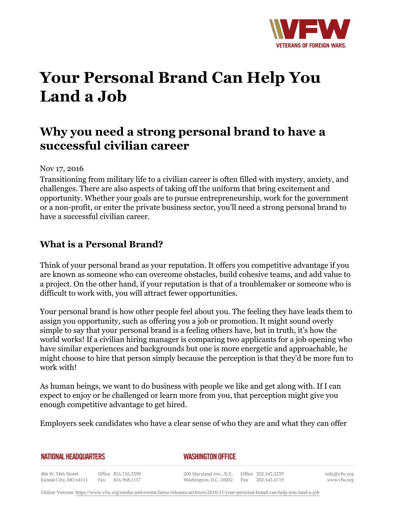

# **Your Personal Brand Can Help You Land a Job**

# **Why you need a strong personal brand to have a successful civilian career**

#### Nov 17, 2016

Transitioning from military life to a civilian career is often filled with mystery, anxiety, and challenges. There are also aspects of taking off the uniform that bring excitement and opportunity. Whether your goals are to pursue entrepreneurship, work for the government or a non-profit, or enter the private business sector, you'll need a strong personal brand to have a successful civilian career.

### **What is a Personal Brand?**

Think of your personal brand as your reputation. It offers you competitive advantage if you are known as someone who can overcome obstacles, build cohesive teams, and add value to a project. On the other hand, if your reputation is that of a troublemaker or someone who is difficult to work with, you will attract fewer opportunities.

Your personal brand is how other people feel about you. The feeling they have leads them to assign you opportunity, such as offering you a job or promotion. It might sound overly simple to say that your personal brand is a feeling others have, but in truth, it's how the world works! If a civilian hiring manager is comparing two applicants for a job opening who have similar experiences and backgrounds but one is more energetic and approachable, he might choose to hire that person simply because the perception is that they'd be more fun to work with!

As human beings, we want to do business with people we like and get along with. If I can expect to enjoy or be challenged or learn more from you, that perception might give you enough competitive advantage to get hired.

Employers seek candidates who have a clear sense of who they are and what they can offer

|  | NATIONAL HEADQUARTERS |
|--|-----------------------|
|  |                       |

#### *WASHINGTON OFFICE*

406 W. 34th Street Office 816.756.3390 Fax 816.968.1157 Kansas City, MO 64111

200 Maryland Ave., N.E. Washington, D.C. 20002

Office 202.543.2239 Fax 202.543.6719 info@vfw.org www.vfw.org

Online Version:<https://www.vfw.org/media-and-events/latest-releases/archives/2016/11/your-personal-brand-can-help-you-land-a-job>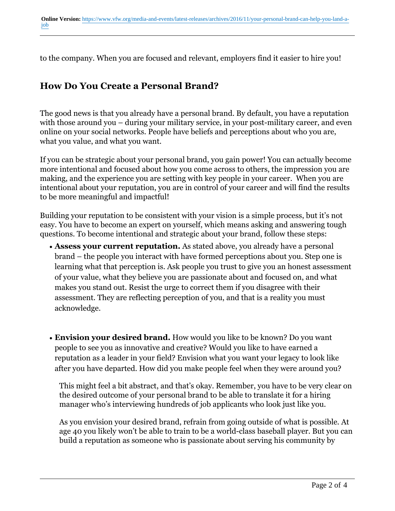to the company. When you are focused and relevant, employers find it easier to hire you!

## **How Do You Create a Personal Brand?**

The good news is that you already have a personal brand. By default, you have a reputation with those around you – during your military service, in your post-military career, and even online on your social networks. People have beliefs and perceptions about who you are, what you value, and what you want.

If you can be strategic about your personal brand, you gain power! You can actually become more intentional and focused about how you come across to others, the impression you are making, and the experience you are setting with key people in your career. When you are intentional about your reputation, you are in control of your career and will find the results to be more meaningful and impactful!

Building your reputation to be consistent with your vision is a simple process, but it's not easy. You have to become an expert on yourself, which means asking and answering tough questions. To become intentional and strategic about your brand, follow these steps:

- Assess your current reputation. As stated above, you already have a personal brand – the people you interact with have formed perceptions about you. Step one is learning what that perception is. Ask people you trust to give you an honest assessment of your value, what they believe you are passionate about and focused on, and what makes you stand out. Resist the urge to correct them if you disagree with their assessment. They are reflecting perception of you, and that is a reality you must acknowledge.
- Envision your desired brand. How would you like to be known? Do you want people to see you as innovative and creative? Would you like to have earned a reputation as a leader in your field? Envision what you want your legacy to look like after you have departed. How did you make people feel when they were around you?

This might feel a bit abstract, and that's okay. Remember, you have to be very clear on the desired outcome of your personal brand to be able to translate it for a hiring manager who's interviewing hundreds of job applicants who look just like you.

As you envision your desired brand, refrain from going outside of what is possible. At age 40 you likely won't be able to train to be a world-class baseball player. But you can build a reputation as someone who is passionate about serving his community by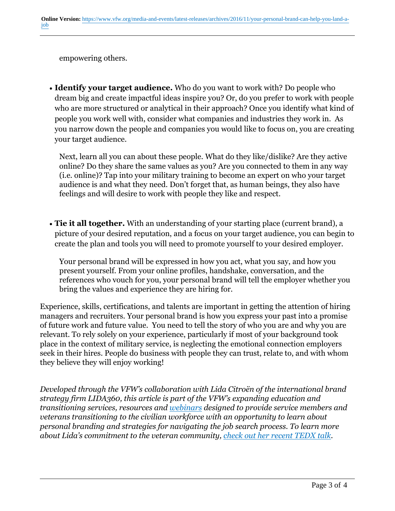empowering others.

• **Identify your target audience.** Who do you want to work with? Do people who dream big and create impactful ideas inspire you? Or, do you prefer to work with people who are more structured or analytical in their approach? Once you identify what kind of people you work well with, consider what companies and industries they work in. As you narrow down the people and companies you would like to focus on, you are creating your target audience.

Next, learn all you can about these people. What do they like/dislike? Are they active online? Do they share the same values as you? Are you connected to them in any way (i.e. online)? Tap into your military training to become an expert on who your target audience is and what they need. Don't forget that, as human beings, they also have feelings and will desire to work with people they like and respect.

• **Tie it all together.** With an understanding of your starting place (current brand), a picture of your desired reputation, and a focus on your target audience, you can begin to create the plan and tools you will need to promote yourself to your desired employer.

Your personal brand will be expressed in how you act, what you say, and how you present yourself. From your online profiles, handshake, conversation, and the references who vouch for you, your personal brand will tell the employer whether you bring the values and experience they are hiring for.

Experience, skills, certifications, and talents are important in getting the attention of hiring managers and recruiters. Your personal brand is how you express your past into a promise of future work and future value. You need to tell the story of who you are and why you are relevant. To rely solely on your experience, particularly if most of your background took place in the context of military service, is neglecting the emotional connection employers seek in their hires. People do business with people they can trust, relate to, and with whom they believe they will enjoy working!

*Developed through the VFW's collaboration with Lida Citroën of the international brand strategy firm LIDA360, this article is part of the VFW's expanding education and transitioning services, resources and webinars designed to provide service members and veterans transitioning to the civilian workforce with an opportunity to learn about personal branding and strategies for navigating the job search process. To learn more about Lida's commitment to the veteran community, check out her recent TEDX talk.*